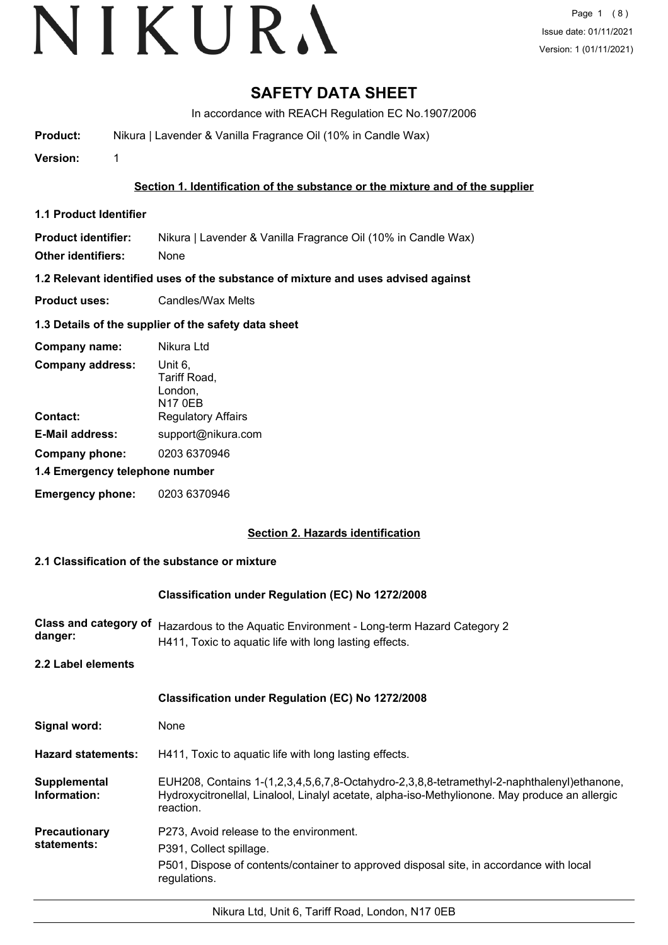## **SAFETY DATA SHEET**

In accordance with REACH Regulation EC No.1907/2006

**Product:** Nikura | Lavender & Vanilla Fragrance Oil (10% in Candle Wax)

**Version:** 1

### **Section 1. Identification of the substance or the mixture and of the supplier**

**1.1 Product Identifier**

**Product identifier:** Nikura | Lavender & Vanilla Fragrance Oil (10% in Candle Wax)

**Other identifiers:** None

**1.2 Relevant identified uses of the substance of mixture and uses advised against**

**Product uses:** Candles/Wax Melts

### **1.3 Details of the supplier of the safety data sheet**

| Company name:                  | Nikura Ltd                                           |  |
|--------------------------------|------------------------------------------------------|--|
| <b>Company address:</b>        | Unit 6,<br>Tariff Road,<br>London,<br><b>N17 0EB</b> |  |
| Contact:                       | <b>Regulatory Affairs</b>                            |  |
| <b>E-Mail address:</b>         | support@nikura.com                                   |  |
| Company phone:                 | 0203 6370946                                         |  |
| 1.4 Emergency telephone number |                                                      |  |
| <b>Emergency phone:</b>        | 0203 6370946                                         |  |

#### **Section 2. Hazards identification**

#### **2.1 Classification of the substance or mixture**

#### **Classification under Regulation (EC) No 1272/2008**

| danger:            | Class and category of Hazardous to the Aquatic Environment - Long-term Hazard Category 2<br>H411, Toxic to aguatic life with long lasting effects. |
|--------------------|----------------------------------------------------------------------------------------------------------------------------------------------------|
| 2.2 Label elements |                                                                                                                                                    |
|                    | <b>Classification under Regulation (EC) No 1272/2008</b>                                                                                           |

| Signal word:                        | None                                                                                                                                                                                                      |
|-------------------------------------|-----------------------------------------------------------------------------------------------------------------------------------------------------------------------------------------------------------|
| <b>Hazard statements:</b>           | H411, Toxic to aquatic life with long lasting effects.                                                                                                                                                    |
| Supplemental<br>Information:        | EUH208, Contains 1-(1,2,3,4,5,6,7,8-Octahydro-2,3,8,8-tetramethyl-2-naphthalenyl)ethanone,<br>Hydroxycitronellal, Linalool, Linalyl acetate, alpha-iso-Methylionone. May produce an allergic<br>reaction. |
| <b>Precautionary</b><br>statements: | P273. Avoid release to the environment.<br>P391. Collect spillage.<br>P501, Dispose of contents/container to approved disposal site, in accordance with local<br>regulations.                             |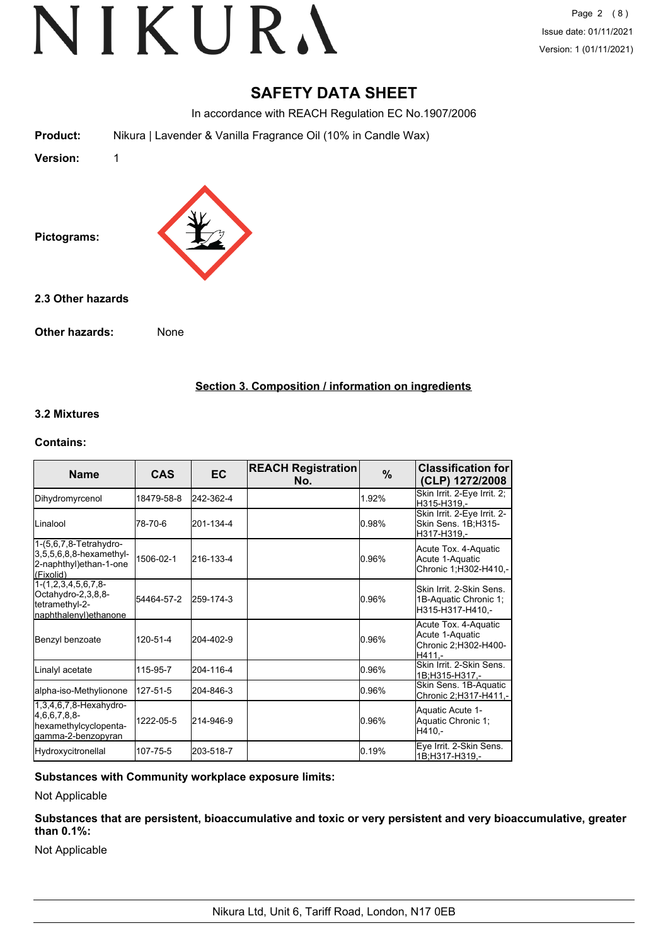## **SAFETY DATA SHEET**

In accordance with REACH Regulation EC No.1907/2006

**Product:** Nikura | Lavender & Vanilla Fragrance Oil (10% in Candle Wax)

**Version:** 1



**2.3 Other hazards**

**Other hazards:** None

**Section 3. Composition / information on ingredients**

#### **3.2 Mixtures**

#### **Contains:**

| <b>Name</b>                                                                                | <b>CAS</b> | <b>EC</b> | <b>REACH Registration</b><br>No. | $\%$  | <b>Classification for</b><br>(CLP) 1272/2008                                |
|--------------------------------------------------------------------------------------------|------------|-----------|----------------------------------|-------|-----------------------------------------------------------------------------|
| Dihydromyrcenol                                                                            | 18479-58-8 | 242-362-4 |                                  | 1.92% | Skin Irrit. 2-Eye Irrit. 2;<br>H315-H319,-                                  |
| ILinalool                                                                                  | 78-70-6    | 201-134-4 |                                  | 0.98% | Skin Irrit. 2-Eye Irrit. 2-<br>Skin Sens. 1B;H315-<br>H317-H319,-           |
| $1-(5,6,7,8-Tetrahydro-$<br>3,5,5,6,8,8-hexamethyl-<br>2-naphthyl)ethan-1-one<br>(Fixolid) | 1506-02-1  | 216-133-4 |                                  | 0.96% | Acute Tox. 4-Aquatic<br>Acute 1-Aquatic<br>Chronic 1;H302-H410,-            |
| $1-(1,2,3,4,5,6,7,8-$<br>Octahydro-2,3,8,8-<br>tetramethyl-2-<br>naphthalenyl)ethanone     | 54464-57-2 | 259-174-3 |                                  | 0.96% | Skin Irrit, 2-Skin Sens.<br>1B-Aquatic Chronic 1;<br>H315-H317-H410,-       |
| Benzyl benzoate                                                                            | 120-51-4   | 204-402-9 |                                  | 0.96% | Acute Tox. 4-Aquatic<br>Acute 1-Aquatic<br>Chronic 2;H302-H400-<br>$H411 -$ |
| Linalyl acetate                                                                            | 115-95-7   | 204-116-4 |                                  | 0.96% | Skin Irrit. 2-Skin Sens.<br>1B;H315-H317,-                                  |
| alpha-iso-Methylionone                                                                     | 127-51-5   | 204-846-3 |                                  | 0.96% | Skin Sens. 1B-Aquatic<br>Chronic 2;H317-H411,-                              |
| 1,3,4,6,7,8-Hexahydro-<br>$4,6,6,7,8,8$ -<br>hexamethylcyclopenta-<br>gamma-2-benzopyran   | 1222-05-5  | 214-946-9 |                                  | 0.96% | Aquatic Acute 1-<br>Aquatic Chronic 1;<br>$H410 -$                          |
| Hydroxycitronellal                                                                         | 107-75-5   | 203-518-7 |                                  | 0.19% | Eye Irrit. 2-Skin Sens.<br>1B;H317-H319,-                                   |

**Substances with Community workplace exposure limits:**

Not Applicable

**Substances that are persistent, bioaccumulative and toxic or very persistent and very bioaccumulative, greater than 0.1%:**

Not Applicable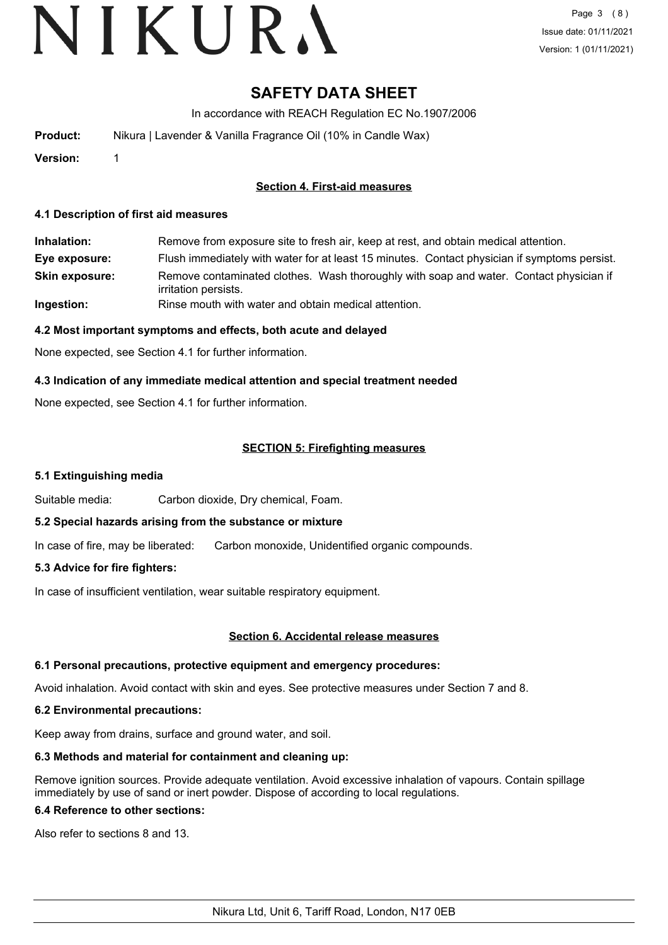# **SAFETY DATA SHEET**

In accordance with REACH Regulation EC No.1907/2006

**Product:** Nikura | Lavender & Vanilla Fragrance Oil (10% in Candle Wax)

**Version:** 1

### **Section 4. First-aid measures**

#### **4.1 Description of first aid measures**

**Inhalation:** Remove from exposure site to fresh air, keep at rest, and obtain medical attention. **Eye exposure:** Flush immediately with water for at least 15 minutes. Contact physician if symptoms persist. Remove contaminated clothes. Wash thoroughly with soap and water. Contact physician if irritation persists. **Skin exposure: Ingestion:** Rinse mouth with water and obtain medical attention.

#### **4.2 Most important symptoms and effects, both acute and delayed**

None expected, see Section 4.1 for further information.

### **4.3 Indication of any immediate medical attention and special treatment needed**

None expected, see Section 4.1 for further information.

### **SECTION 5: Firefighting measures**

#### **5.1 Extinguishing media**

Suitable media: Carbon dioxide, Dry chemical, Foam.

#### **5.2 Special hazards arising from the substance or mixture**

In case of fire, may be liberated: Carbon monoxide, Unidentified organic compounds.

#### **5.3 Advice for fire fighters:**

In case of insufficient ventilation, wear suitable respiratory equipment.

#### **Section 6. Accidental release measures**

#### **6.1 Personal precautions, protective equipment and emergency procedures:**

Avoid inhalation. Avoid contact with skin and eyes. See protective measures under Section 7 and 8.

#### **6.2 Environmental precautions:**

Keep away from drains, surface and ground water, and soil.

#### **6.3 Methods and material for containment and cleaning up:**

Remove ignition sources. Provide adequate ventilation. Avoid excessive inhalation of vapours. Contain spillage immediately by use of sand or inert powder. Dispose of according to local regulations.

#### **6.4 Reference to other sections:**

Also refer to sections 8 and 13.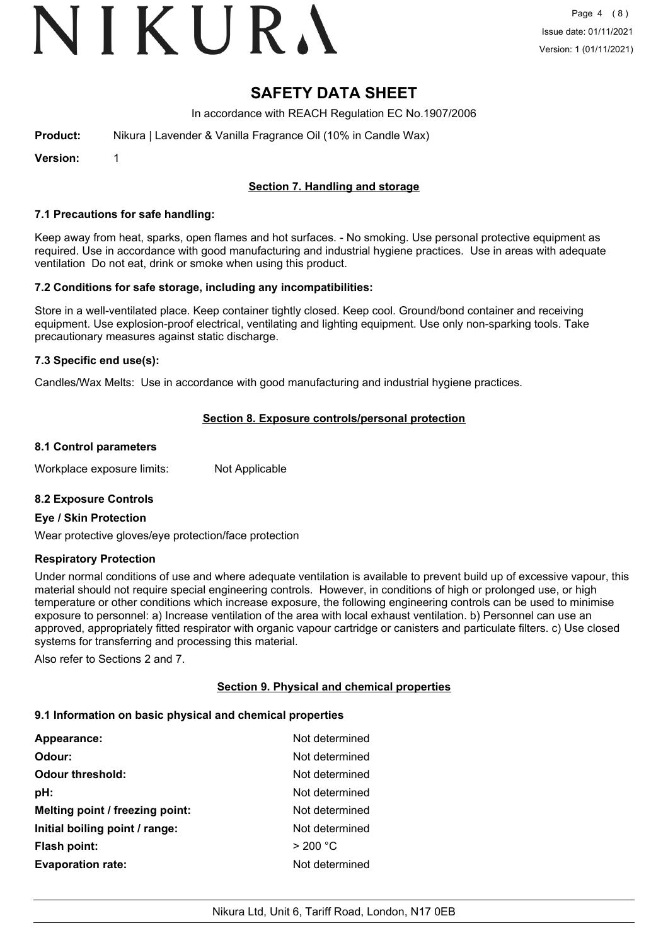# VIKURA

## **SAFETY DATA SHEET**

In accordance with REACH Regulation EC No.1907/2006

**Product:** Nikura | Lavender & Vanilla Fragrance Oil (10% in Candle Wax)

**Version:** 1

## **Section 7. Handling and storage**

#### **7.1 Precautions for safe handling:**

Keep away from heat, sparks, open flames and hot surfaces. - No smoking. Use personal protective equipment as required. Use in accordance with good manufacturing and industrial hygiene practices. Use in areas with adequate ventilation Do not eat, drink or smoke when using this product.

#### **7.2 Conditions for safe storage, including any incompatibilities:**

Store in a well-ventilated place. Keep container tightly closed. Keep cool. Ground/bond container and receiving equipment. Use explosion-proof electrical, ventilating and lighting equipment. Use only non-sparking tools. Take precautionary measures against static discharge.

#### **7.3 Specific end use(s):**

Candles/Wax Melts: Use in accordance with good manufacturing and industrial hygiene practices.

#### **Section 8. Exposure controls/personal protection**

#### **8.1 Control parameters**

Workplace exposure limits: Not Applicable

#### **8.2 Exposure Controls**

#### **Eye / Skin Protection**

Wear protective gloves/eye protection/face protection

#### **Respiratory Protection**

Under normal conditions of use and where adequate ventilation is available to prevent build up of excessive vapour, this material should not require special engineering controls. However, in conditions of high or prolonged use, or high temperature or other conditions which increase exposure, the following engineering controls can be used to minimise exposure to personnel: a) Increase ventilation of the area with local exhaust ventilation. b) Personnel can use an approved, appropriately fitted respirator with organic vapour cartridge or canisters and particulate filters. c) Use closed systems for transferring and processing this material.

Also refer to Sections 2 and 7.

#### **Section 9. Physical and chemical properties**

#### **9.1 Information on basic physical and chemical properties**

| <b>Appearance:</b>              | Not determined |
|---------------------------------|----------------|
| Odour:                          | Not determined |
| <b>Odour threshold:</b>         | Not determined |
| pH:                             | Not determined |
| Melting point / freezing point: | Not determined |
| Initial boiling point / range:  | Not determined |
| <b>Flash point:</b>             | > 200 °C       |
| <b>Evaporation rate:</b>        | Not determined |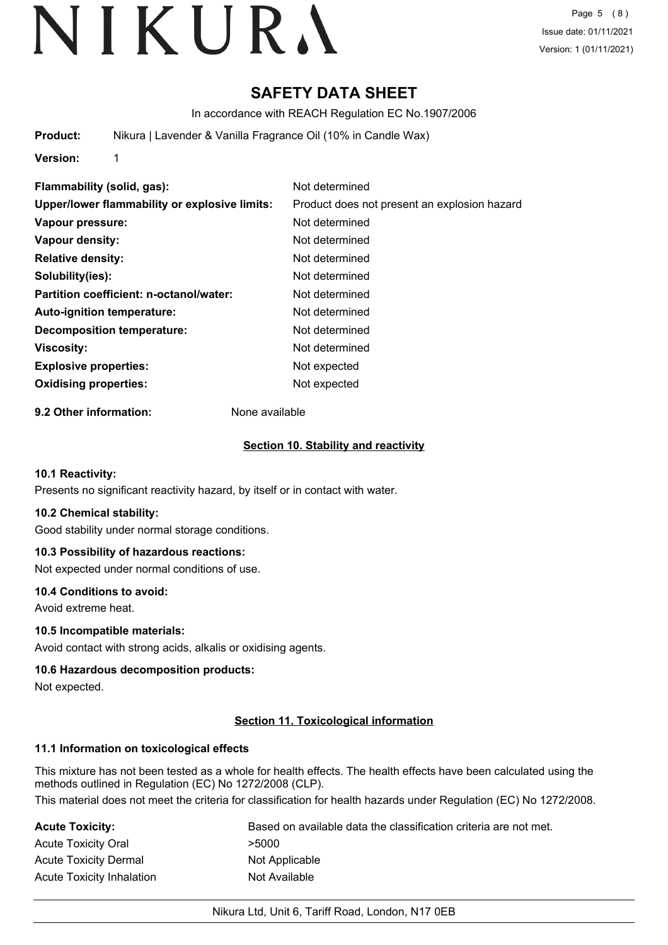# **SAFETY DATA SHEET**

In accordance with REACH Regulation EC No.1907/2006

**Product:** Nikura | Lavender & Vanilla Fragrance Oil (10% in Candle Wax)

**Version:** 1

**Flammability (solid, gas):** Not determined **Upper/lower flammability or explosive limits:** Product does not present an explosion hazard **Vapour pressure:** Not determined **Vapour density:** Not determined **Relative density:** Not determined **Solubility(ies):** Not determined **Partition coefficient: n-octanol/water:** Not determined **Auto-ignition temperature:** Not determined **Decomposition temperature:** Not determined **Viscosity:** Not determined **Explosive properties:** Not expected **Oxidising properties:** Not expected

**9.2 Other information:** None available

### **Section 10. Stability and reactivity**

#### **10.1 Reactivity:**

Presents no significant reactivity hazard, by itself or in contact with water.

#### **10.2 Chemical stability:**

Good stability under normal storage conditions.

#### **10.3 Possibility of hazardous reactions:**

Not expected under normal conditions of use.

#### **10.4 Conditions to avoid:**

Avoid extreme heat.

#### **10.5 Incompatible materials:**

Avoid contact with strong acids, alkalis or oxidising agents.

#### **10.6 Hazardous decomposition products:**

Not expected.

#### **Section 11. Toxicological information**

#### **11.1 Information on toxicological effects**

This mixture has not been tested as a whole for health effects. The health effects have been calculated using the methods outlined in Regulation (EC) No 1272/2008 (CLP).

This material does not meet the criteria for classification for health hazards under Regulation (EC) No 1272/2008.

| Acute Toxicity:           | Based on available data the classification criteria are not met. |
|---------------------------|------------------------------------------------------------------|
| Acute Toxicity Oral       | >5000                                                            |
| Acute Toxicity Dermal     | Not Applicable                                                   |
| Acute Toxicity Inhalation | Not Available                                                    |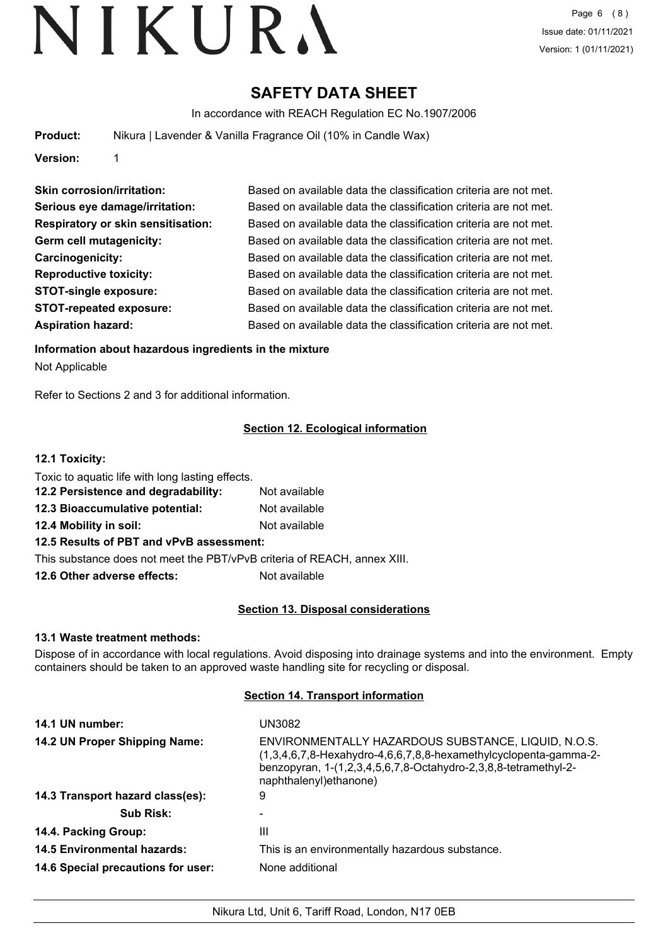# **SAFETY DATA SHEET**

In accordance with REACH Regulation EC No.1907/2006

**Product:** Nikura | Lavender & Vanilla Fragrance Oil (10% in Candle Wax)

**Version:** 1

| <b>Skin corrosion/irritation:</b>         | Based on available data the classification criteria are not met. |
|-------------------------------------------|------------------------------------------------------------------|
| Serious eye damage/irritation:            | Based on available data the classification criteria are not met. |
| <b>Respiratory or skin sensitisation:</b> | Based on available data the classification criteria are not met. |
| Germ cell mutagenicity:                   | Based on available data the classification criteria are not met. |
| Carcinogenicity:                          | Based on available data the classification criteria are not met. |
| <b>Reproductive toxicity:</b>             | Based on available data the classification criteria are not met. |
| <b>STOT-single exposure:</b>              | Based on available data the classification criteria are not met. |
| <b>STOT-repeated exposure:</b>            | Based on available data the classification criteria are not met. |
| <b>Aspiration hazard:</b>                 | Based on available data the classification criteria are not met. |

**Information about hazardous ingredients in the mixture**

Not Applicable

Refer to Sections 2 and 3 for additional information.

## **Section 12. Ecological information**

### **12.1 Toxicity:**

| Toxic to aquatic life with long lasting effects.            |               |  |
|-------------------------------------------------------------|---------------|--|
| 12.2 Persistence and degradability:                         | Not available |  |
| 12.3 Bioaccumulative potential:                             | Not available |  |
| 12.4 Mobility in soil:                                      | Not available |  |
| 12.5 Results of PBT and vPvB assessment:                    |               |  |
| This substance does not meet the PBT/vPvB criteria of REACH |               |  |

**12.6 Other adverse effects:** Not available

## **Section 13. Disposal considerations**

, annex XIII.

#### **13.1 Waste treatment methods:**

Dispose of in accordance with local regulations. Avoid disposing into drainage systems and into the environment. Empty containers should be taken to an approved waste handling site for recycling or disposal.

## **Section 14. Transport information**

| 14.1 UN number:                    | UN3082                                                                                                                                                                                                                   |
|------------------------------------|--------------------------------------------------------------------------------------------------------------------------------------------------------------------------------------------------------------------------|
| 14.2 UN Proper Shipping Name:      | ENVIRONMENTALLY HAZARDOUS SUBSTANCE, LIQUID, N.O.S.<br>$(1,3,4,6,7,8$ -Hexahydro-4,6,6,7,8,8-hexamethylcyclopenta-gamma-2-<br>benzopyran, 1-(1,2,3,4,5,6,7,8-Octahydro-2,3,8,8-tetramethyl-2-<br>naphthalenyl) ethanone) |
| 14.3 Transport hazard class(es):   | 9                                                                                                                                                                                                                        |
| <b>Sub Risk:</b>                   |                                                                                                                                                                                                                          |
| 14.4. Packing Group:               | Ш                                                                                                                                                                                                                        |
| <b>14.5 Environmental hazards:</b> | This is an environmentally hazardous substance.                                                                                                                                                                          |
| 14.6 Special precautions for user: | None additional                                                                                                                                                                                                          |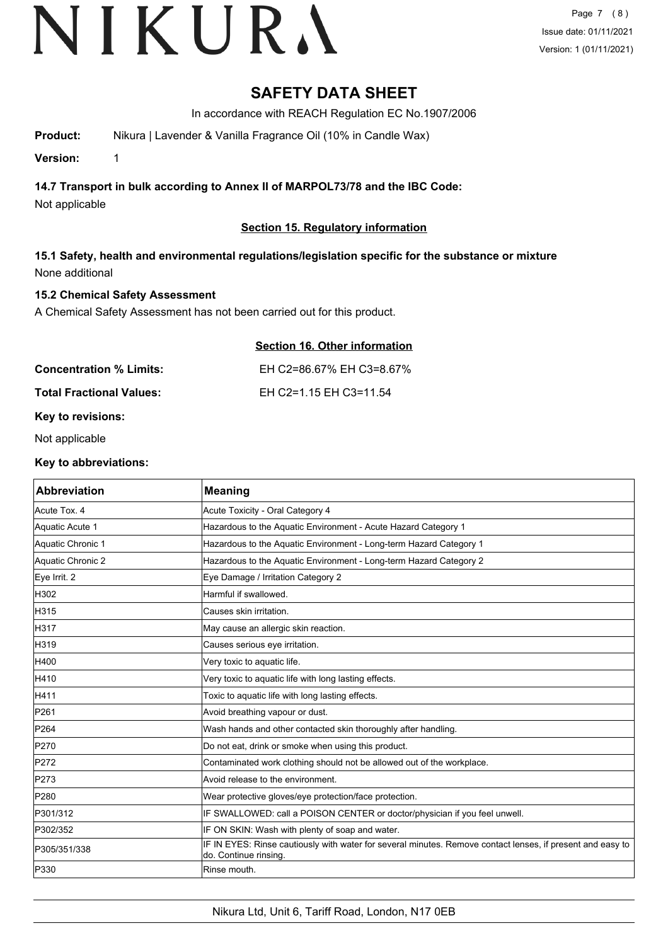# **SAFETY DATA SHEET**

In accordance with REACH Regulation EC No.1907/2006

**Product:** Nikura | Lavender & Vanilla Fragrance Oil (10% in Candle Wax)

**Version:** 1

**14.7 Transport in bulk according to Annex II of MARPOL73/78 and the IBC Code:**

Not applicable

## **Section 15. Regulatory information**

**15.1 Safety, health and environmental regulations/legislation specific for the substance or mixture** None additional

## **15.2 Chemical Safety Assessment**

A Chemical Safety Assessment has not been carried out for this product.

| Section 16. Other information |
|-------------------------------|
| EH C2=86.67% EH C3=8.67%      |
| EH C2=1.15 EH C3=11.54        |
|                               |

**Key to revisions:**

Not applicable

#### **Key to abbreviations:**

| <b>Abbreviation</b> | <b>Meaning</b>                                                                                                                      |
|---------------------|-------------------------------------------------------------------------------------------------------------------------------------|
| Acute Tox. 4        | Acute Toxicity - Oral Category 4                                                                                                    |
| Aquatic Acute 1     | Hazardous to the Aquatic Environment - Acute Hazard Category 1                                                                      |
| Aquatic Chronic 1   | Hazardous to the Aquatic Environment - Long-term Hazard Category 1                                                                  |
| Aquatic Chronic 2   | Hazardous to the Aquatic Environment - Long-term Hazard Category 2                                                                  |
| Eye Irrit. 2        | Eye Damage / Irritation Category 2                                                                                                  |
| H302                | Harmful if swallowed.                                                                                                               |
| H315                | Causes skin irritation.                                                                                                             |
| H317                | May cause an allergic skin reaction.                                                                                                |
| H319                | Causes serious eye irritation.                                                                                                      |
| H400                | Very toxic to aquatic life.                                                                                                         |
| H410                | Very toxic to aquatic life with long lasting effects.                                                                               |
| <b>H411</b>         | Toxic to aquatic life with long lasting effects.                                                                                    |
| P261                | Avoid breathing vapour or dust.                                                                                                     |
| P264                | Wash hands and other contacted skin thoroughly after handling.                                                                      |
| P270                | Do not eat, drink or smoke when using this product.                                                                                 |
| P272                | Contaminated work clothing should not be allowed out of the workplace.                                                              |
| P273                | Avoid release to the environment.                                                                                                   |
| P280                | Wear protective gloves/eye protection/face protection.                                                                              |
| P301/312            | IF SWALLOWED: call a POISON CENTER or doctor/physician if you feel unwell.                                                          |
| P302/352            | IF ON SKIN: Wash with plenty of soap and water.                                                                                     |
| P305/351/338        | IF IN EYES: Rinse cautiously with water for several minutes. Remove contact lenses, if present and easy to<br>do. Continue rinsing. |
| P330                | Rinse mouth.                                                                                                                        |